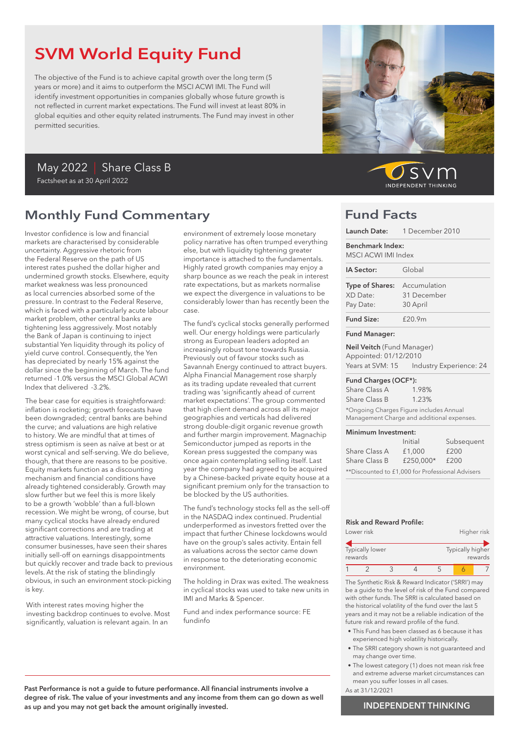# SVM World Equity Fund

The objective of the Fund is to achieve capital growth over the long term (5 years or more) and it aims to outperform the MSCI ACWI IMI. The Fund will identify investment opportunities in companies globally whose future growth is not reflected in current market expectations. The Fund will invest at least 80% in global equities and other equity related instruments. The Fund may invest in other permitted securities.

## May 2022 | Share Class B Factsheet as at 30 April 2022

## Monthly Fund Commentary

Investor confidence is low and financial markets are characterised by considerable uncertainty. Aggressive rhetoric from the Federal Reserve on the path of US interest rates pushed the dollar higher and undermined growth stocks. Elsewhere, equity market weakness was less pronounced as local currencies absorbed some of the pressure. In contrast to the Federal Reserve, which is faced with a particularly acute labour market problem, other central banks are tightening less aggressively. Most notably the Bank of Japan is continuing to inject substantial Yen liquidity through its policy of yield curve control. Consequently, the Yen has depreciated by nearly 15% against the dollar since the beginning of March. The fund returned -1.0% versus the MSCI Global ACWI Index that delivered -3.2%.

The bear case for equities is straightforward: inflation is rocketing; growth forecasts have been downgraded; central banks are behind the curve; and valuations are high relative to history. We are mindful that at times of stress optimism is seen as naïve at best or at worst cynical and self-serving. We do believe, though, that there are reasons to be positive. Equity markets function as a discounting mechanism and financial conditions have already tightened considerably. Growth may slow further but we feel this is more likely to be a growth 'wobble' than a full-blown recession. We might be wrong, of course, but many cyclical stocks have already endured significant corrections and are trading at attractive valuations. Interestingly, some consumer businesses, have seen their shares initially sell-off on earnings disappointments but quickly recover and trade back to previous levels. At the risk of stating the blindingly obvious, in such an environment stock-picking is key.

With interest rates moving higher the investing backdrop continues to evolve. Most significantly, valuation is relevant again. In an

environment of extremely loose monetary policy narrative has often trumped everything else, but with liquidity tightening greater importance is attached to the fundamentals. Highly rated growth companies may enjoy a sharp bounce as we reach the peak in interest rate expectations, but as markets normalise we expect the divergence in valuations to be considerably lower than has recently been the case.

The fund's cyclical stocks generally performed well. Our energy holdings were particularly strong as European leaders adopted an increasingly robust tone towards Russia. Previously out of favour stocks such as Savannah Energy continued to attract buyers. Alpha Financial Management rose sharply as its trading update revealed that current trading was 'significantly ahead of current market expectations'. The group commented that high client demand across all its major geographies and verticals had delivered strong double-digit organic revenue growth and further margin improvement. Magnachip Semiconductor jumped as reports in the Korean press suggested the company was once again contemplating selling itself. Last year the company had agreed to be acquired by a Chinese-backed private equity house at a significant premium only for the transaction to be blocked by the US authorities.

The fund's technology stocks fell as the sell-off in the NASDAQ index continued. Prudential underperformed as investors fretted over the impact that further Chinese lockdowns would have on the group's sales activity. Entain fell as valuations across the sector came down in response to the deteriorating economic environment.

The holding in Drax was exited. The weakness in cyclical stocks was used to take new units in IMI and Marks & Spencer.

Fund and index performance source: FE fundinfo



SVr **INDEPENDENT THINKING** 

## Fund Facts

| Launch Date:                                                                          | 1 December 2010   |                         |  |
|---------------------------------------------------------------------------------------|-------------------|-------------------------|--|
| Benchmark Index:<br>MSCI ACWI IMI Index                                               |                   |                         |  |
| IA Sector:                                                                            | Global            |                         |  |
| Type of Shares:                                                                       | Accumulation      |                         |  |
| XD Date:                                                                              | 31 December       |                         |  |
| Pay Date:                                                                             | 30 April          |                         |  |
| <b>Fund Size:</b>                                                                     | £20.9m            |                         |  |
| <b>Fund Manager:</b>                                                                  |                   |                         |  |
| Neil Veitch (Fund Manager)<br>Appointed: 01/12/2010<br>Years at SVM: 15               |                   | Industry Experience: 24 |  |
| Fund Charges (OCF*):                                                                  |                   |                         |  |
| Share Class A                                                                         | 1.98%             |                         |  |
| Share Class B                                                                         | 1.23%             |                         |  |
| *Ongoing Charges Figure includes Annual<br>Management Charge and additional expenses. |                   |                         |  |
| Minimum Investment:                                                                   |                   |                         |  |
|                                                                                       | Initial           | Subsequent              |  |
| Share Class A                                                                         | £200<br>£1,000    |                         |  |
| Share Class B                                                                         | £250.000*<br>£200 |                         |  |

## Risk and Reward Profile:

|         | Lower risk             |  |                  | Higher risk |
|---------|------------------------|--|------------------|-------------|
| rewards | <b>Typically lower</b> |  | Typically higher | rewards     |
|         |                        |  |                  |             |

\*\*Discounted to £1,000 for Professional Advisers

The Synthetic Risk & Reward Indicator ('SRRI') may be a guide to the level of risk of the Fund compared with other funds. The SRRI is calculated based on the historical volatility of the fund over the last 5 years and it may not be a reliable indication of the future risk and reward profile of the fund.

- This Fund has been classed as 6 because it has experienced high volatility historically.
- The SRRI category shown is not guaranteed and may change over time.
- The lowest category (1) does not mean risk free and extreme adverse market circumstances can mean you suffer losses in all cases.
- As at 31/12/2021

### Past Performance is not a guide to future performance. All financial instruments involve a degree of risk. The value of your investments and any income from them can go down as well as up and you may not get back the amount originally invested.

### INDEPENDENT THINKING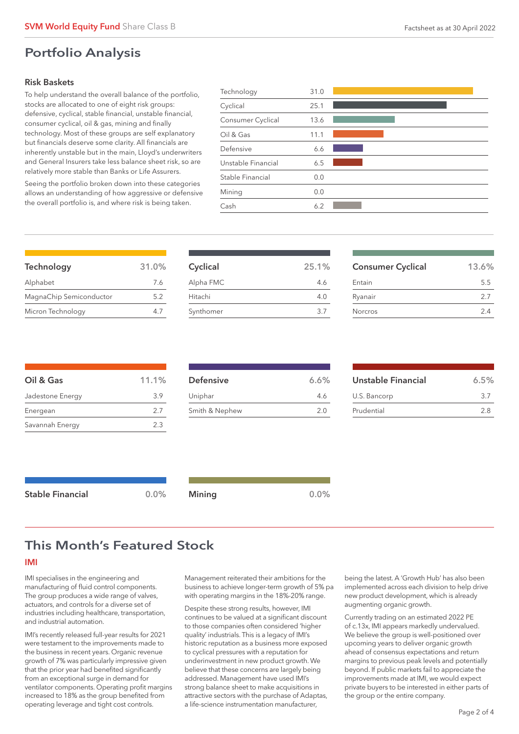## Portfolio Analysis

## Risk Baskets

To help understand the overall balance of the portfolio, stocks are allocated to one of eight risk groups: defensive, cyclical, stable financial, unstable financial, consumer cyclical, oil & gas, mining and finally technology. Most of these groups are self explanatory but financials deserve some clarity. All financials are inherently unstable but in the main, Lloyd's underwriters and General Insurers take less balance sheet risk, so are relatively more stable than Banks or Life Assurers.

Seeing the portfolio broken down into these categories allows an understanding of how aggressive or defensive the overall portfolio is, and where risk is being taken.

| Technology         | 31.0 |  |
|--------------------|------|--|
| Cyclical           | 25.1 |  |
| Consumer Cyclical  | 13.6 |  |
| Oil & Gas          | 11.1 |  |
| Defensive          | 6.6  |  |
| Unstable Financial | 6.5  |  |
| Stable Financial   | 0.0  |  |
| Mining             | 0.0  |  |
| Cash               | 6.2  |  |
|                    |      |  |

| Technology              | 31.0% |
|-------------------------|-------|
| Alphabet                | 7.6   |
| MagnaChip Semiconductor | 5.2   |
| Micron Technology       |       |

| Cyclical  | 25.1% |
|-----------|-------|
| Alpha FMC | 46    |
| Hitachi   | 4.0   |
| Synthomer | 3.7   |
|           |       |

| <b>Consumer Cyclical</b> | 13.6% |
|--------------------------|-------|
| Entain                   | 5.5   |
| Ryanair                  | 27    |
| <b>Norcros</b>           | 24    |

| Oil & Gas        | 11.1% |
|------------------|-------|
| Jadestone Energy | 3.9   |
| Energean         | 2.7   |
| Savannah Energy  | 2.3   |

| 6.6% |
|------|
| 4.6  |
| 2.0  |
|      |

| Unstable Financial | 6.5% |
|--------------------|------|
| U.S. Bancorp       | 37   |
| Prudential         | 28   |

| <b>Stable Financial</b> | $0.0\%$ | Mining | 0.0% |
|-------------------------|---------|--------|------|
|                         |         |        |      |

## This Month's Featured Stock

### IMI

IMI specialises in the engineering and manufacturing of fluid control components. The group produces a wide range of valves, actuators, and controls for a diverse set of industries including healthcare, transportation, and industrial automation.

IMI's recently released full-year results for 2021 were testament to the improvements made to the business in recent years. Organic revenue growth of 7% was particularly impressive given that the prior year had benefited significantly from an exceptional surge in demand for ventilator components. Operating profit margins increased to 18% as the group benefited from operating leverage and tight cost controls.

Management reiterated their ambitions for the business to achieve longer-term growth of 5% pa with operating margins in the 18%-20% range.

Despite these strong results, however, IMI continues to be valued at a significant discount to those companies often considered 'higher quality' industrials. This is a legacy of IMI's historic reputation as a business more exposed to cyclical pressures with a reputation for underinvestment in new product growth. We believe that these concerns are largely being addressed. Management have used IMI's strong balance sheet to make acquisitions in attractive sectors with the purchase of Adaptas, a life-science instrumentation manufacturer,

being the latest. A 'Growth Hub' has also been implemented across each division to help drive new product development, which is already augmenting organic growth.

Currently trading on an estimated 2022 PE of c.13x, IMI appears markedly undervalued. We believe the group is well-positioned over upcoming years to deliver organic growth ahead of consensus expectations and return margins to previous peak levels and potentially beyond. If public markets fail to appreciate the improvements made at IMI, we would expect private buyers to be interested in either parts of the group or the entire company.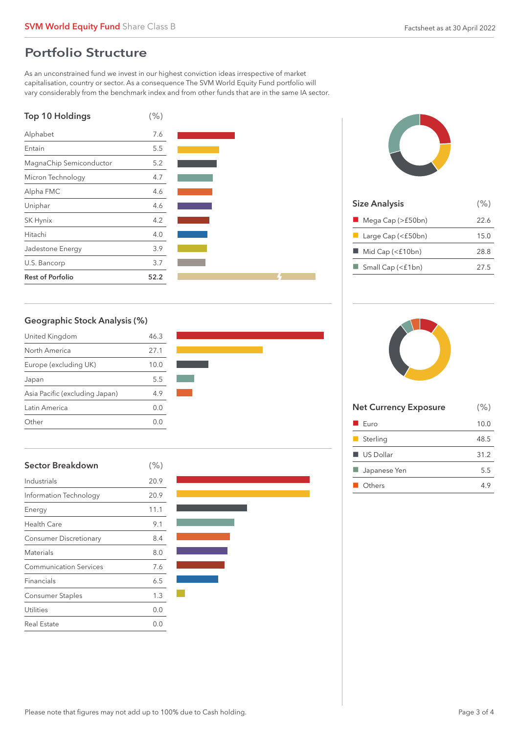## Portfolio Structure

As an unconstrained fund we invest in our highest conviction ideas irrespective of market capitalisation, country or sector. As a consequence The SVM World Equity Fund portfolio will vary considerably from the benchmark index and from other funds that are in the same IA sector.







| <b>Size Analysis</b>                  | (% ) |
|---------------------------------------|------|
| $\blacksquare$ Mega Cap (>£50bn)      | 22.6 |
| $\blacksquare$ Large Cap (< $f50bn$ ) | 15.0 |
| Mid Cap (<£10bn)                      | 28.8 |
| $\Box$ Small Cap (<£1bn)              | 27.5 |
|                                       |      |

## Geographic Stock Analysis (%)

| United Kingdom                 | 46.3    |
|--------------------------------|---------|
| North America                  | 27.1    |
| Europe (excluding UK)          | 10.0    |
| Japan                          | 5.5     |
| Asia Pacific (excluding Japan) | 4.9     |
| Latin America                  | (1, 0)  |
| Other                          | ( ) ( ) |



| <b>Sector Breakdown</b>       | $(\% )$ |
|-------------------------------|---------|
| Industrials                   | 20.9    |
| Information Technology        | 20.9    |
| Energy                        | 11.1    |
| <b>Health Care</b>            | 9.1     |
| <b>Consumer Discretionary</b> | 8.4     |
| <b>Materials</b>              | 8.0     |
| <b>Communication Services</b> | 7.6     |
| Financials                    | 6.5     |
| <b>Consumer Staples</b>       | 1.3     |
| Utilities                     | 0.0     |
| <b>Real Estate</b>            | 0.0     |



| <b>Net Currency Exposure</b> | (% ) |
|------------------------------|------|
| $\blacksquare$ Euro          | 10.0 |
| $\blacksquare$ Sterling      | 48.5 |
| $\blacksquare$ US Dollar     | 31.2 |
| Japanese Yen                 | 5.5  |
| <b>Others</b>                | 49   |
|                              |      |